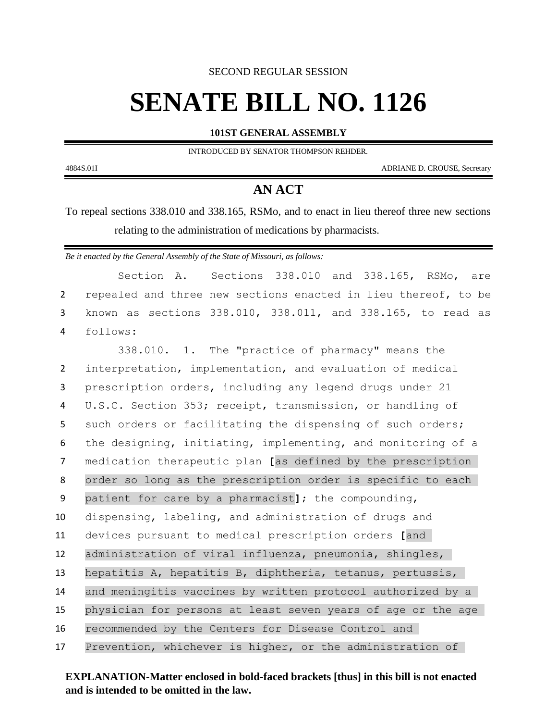SECOND REGULAR SESSION

## **SENATE BILL NO. 1126**

**101ST GENERAL ASSEMBLY**

INTRODUCED BY SENATOR THOMPSON REHDER.

4884S.01I ADRIANE D. CROUSE, Secretary

## **AN ACT**

To repeal sections 338.010 and 338.165, RSMo, and to enact in lieu thereof three new sections relating to the administration of medications by pharmacists.

*Be it enacted by the General Assembly of the State of Missouri, as follows:*

|                | Sections 338.010 and 338.165, RSMo, are<br>Section A.          |
|----------------|----------------------------------------------------------------|
| $\overline{2}$ | repealed and three new sections enacted in lieu thereof, to be |
| 3              | known as sections 338.010, 338.011, and 338.165, to read as    |
| 4              | follows:                                                       |
|                | 338.010. 1. The "practice of pharmacy" means the               |
| $\overline{2}$ | interpretation, implementation, and evaluation of medical      |
| 3              | prescription orders, including any legend drugs under 21       |
| 4              | U.S.C. Section 353; receipt, transmission, or handling of      |
| 5              | such orders or facilitating the dispensing of such orders;     |
| 6              | the designing, initiating, implementing, and monitoring of a   |
| 7              | medication therapeutic plan [as defined by the prescription    |
| 8              | order so long as the prescription order is specific to each    |
| 9              | patient for care by a pharmacist]; the compounding,            |
| 10             | dispensing, labeling, and administration of drugs and          |
| 11             | devices pursuant to medical prescription orders [and           |
| 12             | administration of viral influenza, pneumonia, shingles,        |
| 13             | hepatitis A, hepatitis B, diphtheria, tetanus, pertussis,      |
| 14             | and meningitis vaccines by written protocol authorized by a    |
| 15             | physician for persons at least seven years of age or the age   |
| 16             | recommended by the Centers for Disease Control and             |
| 17             | Prevention, whichever is higher, or the administration of      |

**EXPLANATION-Matter enclosed in bold-faced brackets [thus] in this bill is not enacted and is intended to be omitted in the law.**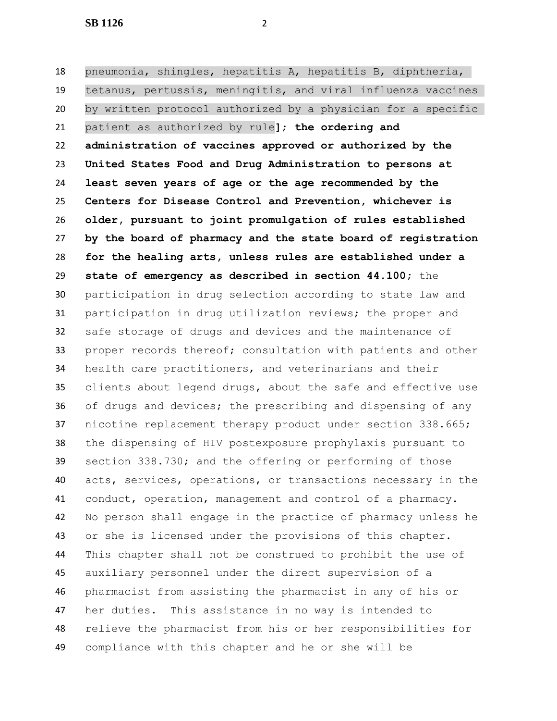**SB 1126** 2

 pneumonia, shingles, hepatitis A, hepatitis B, diphtheria, tetanus, pertussis, meningitis, and viral influenza vaccines by written protocol authorized by a physician for a specific patient as authorized by rule**]**; **the ordering and administration of vaccines approved or authorized by the United States Food and Drug Administration to persons at least seven years of age or the age recommended by the Centers for Disease Control and Prevention, whichever is older, pursuant to joint promulgation of rules established by the board of pharmacy and the state board of registration for the healing arts, unless rules are established under a state of emergency as described in section 44.100;** the participation in drug selection according to state law and participation in drug utilization reviews; the proper and safe storage of drugs and devices and the maintenance of proper records thereof; consultation with patients and other health care practitioners, and veterinarians and their clients about legend drugs, about the safe and effective use of drugs and devices; the prescribing and dispensing of any nicotine replacement therapy product under section 338.665; the dispensing of HIV postexposure prophylaxis pursuant to section 338.730; and the offering or performing of those acts, services, operations, or transactions necessary in the conduct, operation, management and control of a pharmacy. No person shall engage in the practice of pharmacy unless he or she is licensed under the provisions of this chapter. This chapter shall not be construed to prohibit the use of auxiliary personnel under the direct supervision of a pharmacist from assisting the pharmacist in any of his or her duties. This assistance in no way is intended to relieve the pharmacist from his or her responsibilities for compliance with this chapter and he or she will be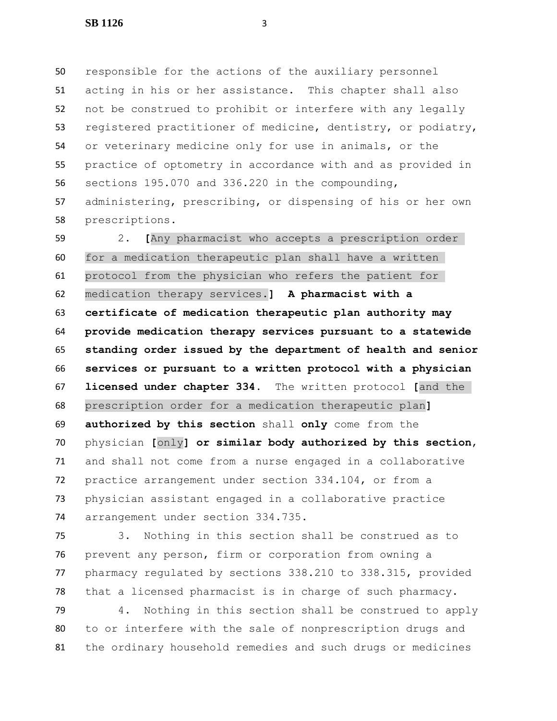responsible for the actions of the auxiliary personnel acting in his or her assistance. This chapter shall also not be construed to prohibit or interfere with any legally registered practitioner of medicine, dentistry, or podiatry, or veterinary medicine only for use in animals, or the practice of optometry in accordance with and as provided in sections 195.070 and 336.220 in the compounding, administering, prescribing, or dispensing of his or her own prescriptions.

 2. **[**Any pharmacist who accepts a prescription order for a medication therapeutic plan shall have a written protocol from the physician who refers the patient for medication therapy services.**] A pharmacist with a certificate of medication therapeutic plan authority may provide medication therapy services pursuant to a statewide standing order issued by the department of health and senior services or pursuant to a written protocol with a physician licensed under chapter 334.** The written protocol **[**and the prescription order for a medication therapeutic plan**] authorized by this section** shall **only** come from the physician **[**only**] or similar body authorized by this section**, and shall not come from a nurse engaged in a collaborative practice arrangement under section 334.104, or from a physician assistant engaged in a collaborative practice arrangement under section 334.735.

 3. Nothing in this section shall be construed as to prevent any person, firm or corporation from owning a pharmacy regulated by sections 338.210 to 338.315, provided that a licensed pharmacist is in charge of such pharmacy.

 4. Nothing in this section shall be construed to apply to or interfere with the sale of nonprescription drugs and the ordinary household remedies and such drugs or medicines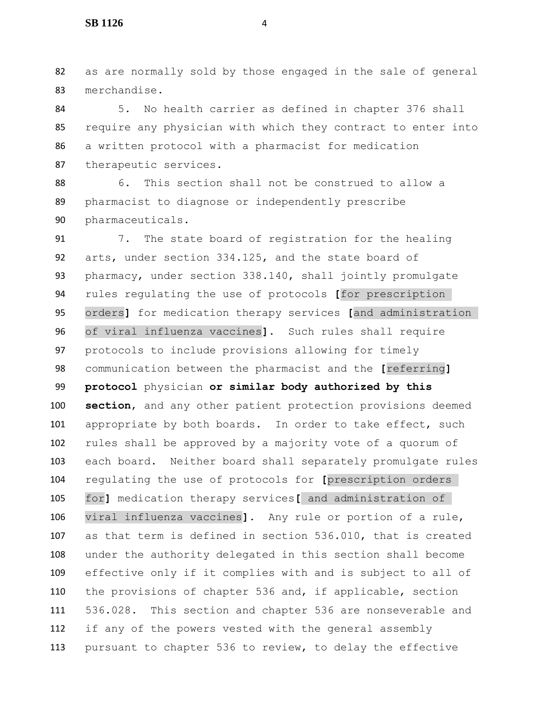as are normally sold by those engaged in the sale of general merchandise.

 5. No health carrier as defined in chapter 376 shall require any physician with which they contract to enter into a written protocol with a pharmacist for medication therapeutic services.

 6. This section shall not be construed to allow a pharmacist to diagnose or independently prescribe pharmaceuticals.

 7. The state board of registration for the healing arts, under section 334.125, and the state board of pharmacy, under section 338.140, shall jointly promulgate rules regulating the use of protocols **[**for prescription orders**]** for medication therapy services **[**and administration of viral influenza vaccines**]**. Such rules shall require protocols to include provisions allowing for timely communication between the pharmacist and the **[**referring**] protocol** physician **or similar body authorized by this section**, and any other patient protection provisions deemed 101 appropriate by both boards. In order to take effect, such rules shall be approved by a majority vote of a quorum of each board. Neither board shall separately promulgate rules regulating the use of protocols for **[**prescription orders for**]** medication therapy services**[** and administration of viral influenza vaccines**]**. Any rule or portion of a rule, as that term is defined in section 536.010, that is created under the authority delegated in this section shall become effective only if it complies with and is subject to all of the provisions of chapter 536 and, if applicable, section 536.028. This section and chapter 536 are nonseverable and if any of the powers vested with the general assembly pursuant to chapter 536 to review, to delay the effective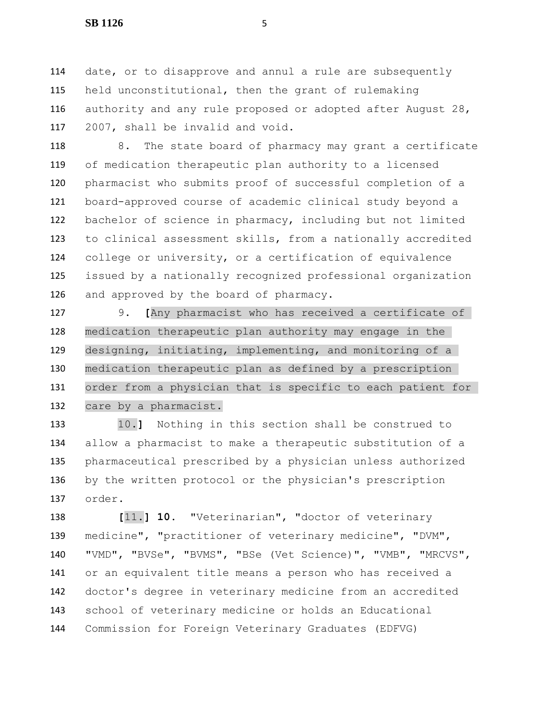date, or to disapprove and annul a rule are subsequently held unconstitutional, then the grant of rulemaking authority and any rule proposed or adopted after August 28, 2007, shall be invalid and void.

118 8. The state board of pharmacy may grant a certificate of medication therapeutic plan authority to a licensed pharmacist who submits proof of successful completion of a board-approved course of academic clinical study beyond a bachelor of science in pharmacy, including but not limited to clinical assessment skills, from a nationally accredited college or university, or a certification of equivalence issued by a nationally recognized professional organization and approved by the board of pharmacy.

 9. **[**Any pharmacist who has received a certificate of medication therapeutic plan authority may engage in the designing, initiating, implementing, and monitoring of a medication therapeutic plan as defined by a prescription order from a physician that is specific to each patient for care by a pharmacist.

 10.**]** Nothing in this section shall be construed to allow a pharmacist to make a therapeutic substitution of a pharmaceutical prescribed by a physician unless authorized by the written protocol or the physician's prescription order.

 **[**11.**] 10.** "Veterinarian", "doctor of veterinary medicine", "practitioner of veterinary medicine", "DVM", "VMD", "BVSe", "BVMS", "BSe (Vet Science)", "VMB", "MRCVS", or an equivalent title means a person who has received a doctor's degree in veterinary medicine from an accredited school of veterinary medicine or holds an Educational Commission for Foreign Veterinary Graduates (EDFVG)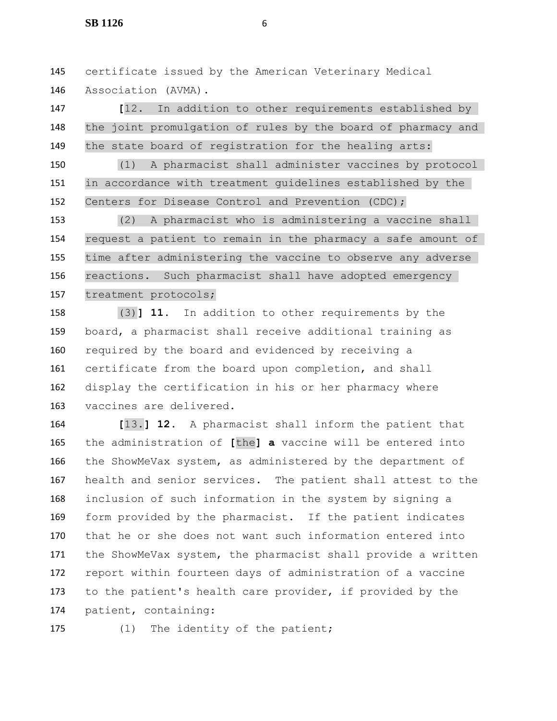certificate issued by the American Veterinary Medical Association (AVMA).

 **[**12. In addition to other requirements established by the joint promulgation of rules by the board of pharmacy and the state board of registration for the healing arts:

 (1) A pharmacist shall administer vaccines by protocol in accordance with treatment guidelines established by the Centers for Disease Control and Prevention (CDC);

 (2) A pharmacist who is administering a vaccine shall request a patient to remain in the pharmacy a safe amount of time after administering the vaccine to observe any adverse reactions. Such pharmacist shall have adopted emergency treatment protocols;

 (3)**] 11.** In addition to other requirements by the board, a pharmacist shall receive additional training as required by the board and evidenced by receiving a certificate from the board upon completion, and shall display the certification in his or her pharmacy where vaccines are delivered.

 **[**13.**] 12.** A pharmacist shall inform the patient that the administration of **[**the**] a** vaccine will be entered into the ShowMeVax system, as administered by the department of health and senior services. The patient shall attest to the inclusion of such information in the system by signing a form provided by the pharmacist. If the patient indicates that he or she does not want such information entered into the ShowMeVax system, the pharmacist shall provide a written report within fourteen days of administration of a vaccine to the patient's health care provider, if provided by the patient, containing:

175 (1) The identity of the patient;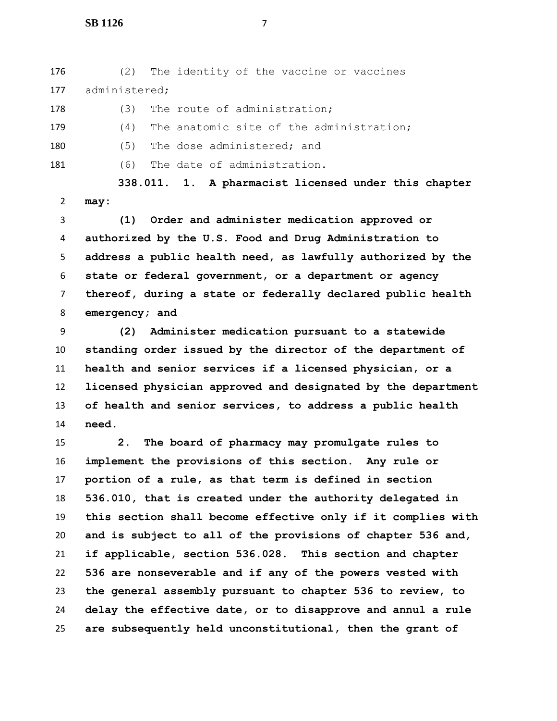**SB 1126** 7

 (2) The identity of the vaccine or vaccines administered;

178 (3) The route of administration;

 (4) The anatomic site of the administration; 180 (5) The dose administered; and

181 (6) The date of administration.

 **338.011. 1. A pharmacist licensed under this chapter may:**

 **(1) Order and administer medication approved or authorized by the U.S. Food and Drug Administration to address a public health need, as lawfully authorized by the state or federal government, or a department or agency thereof, during a state or federally declared public health emergency; and**

 **(2) Administer medication pursuant to a statewide standing order issued by the director of the department of health and senior services if a licensed physician, or a licensed physician approved and designated by the department of health and senior services, to address a public health need.**

 **2. The board of pharmacy may promulgate rules to implement the provisions of this section. Any rule or portion of a rule, as that term is defined in section 536.010, that is created under the authority delegated in this section shall become effective only if it complies with and is subject to all of the provisions of chapter 536 and, if applicable, section 536.028. This section and chapter 536 are nonseverable and if any of the powers vested with the general assembly pursuant to chapter 536 to review, to delay the effective date, or to disapprove and annul a rule are subsequently held unconstitutional, then the grant of**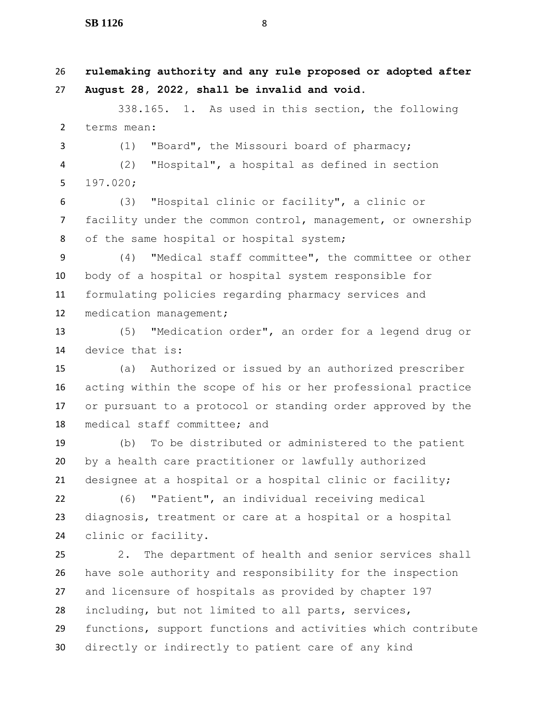**rulemaking authority and any rule proposed or adopted after August 28, 2022, shall be invalid and void.** 338.165. 1. As used in this section, the following terms mean: (1) "Board", the Missouri board of pharmacy; (2) "Hospital", a hospital as defined in section 197.020; (3) "Hospital clinic or facility", a clinic or facility under the common control, management, or ownership 8 of the same hospital or hospital system; (4) "Medical staff committee", the committee or other body of a hospital or hospital system responsible for formulating policies regarding pharmacy services and medication management; (5) "Medication order", an order for a legend drug or device that is: (a) Authorized or issued by an authorized prescriber acting within the scope of his or her professional practice or pursuant to a protocol or standing order approved by the medical staff committee; and (b) To be distributed or administered to the patient by a health care practitioner or lawfully authorized designee at a hospital or a hospital clinic or facility; (6) "Patient", an individual receiving medical diagnosis, treatment or care at a hospital or a hospital

clinic or facility.

 2. The department of health and senior services shall have sole authority and responsibility for the inspection and licensure of hospitals as provided by chapter 197 including, but not limited to all parts, services, functions, support functions and activities which contribute directly or indirectly to patient care of any kind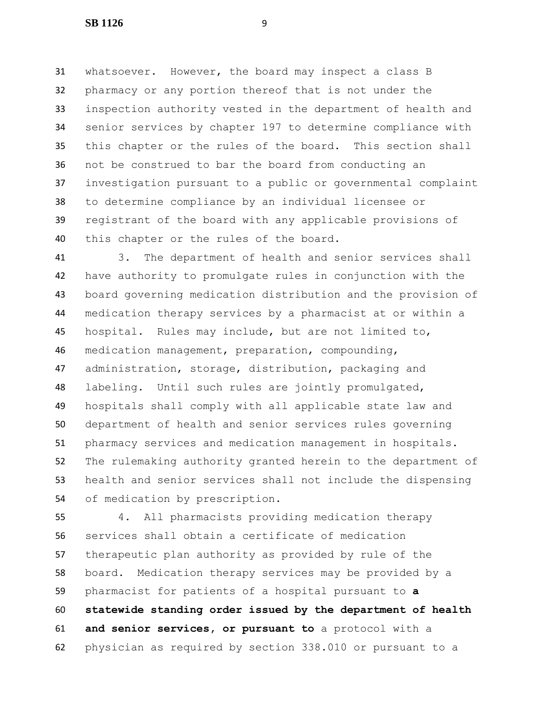whatsoever. However, the board may inspect a class B pharmacy or any portion thereof that is not under the inspection authority vested in the department of health and senior services by chapter 197 to determine compliance with this chapter or the rules of the board. This section shall not be construed to bar the board from conducting an investigation pursuant to a public or governmental complaint to determine compliance by an individual licensee or registrant of the board with any applicable provisions of this chapter or the rules of the board.

 3. The department of health and senior services shall have authority to promulgate rules in conjunction with the board governing medication distribution and the provision of medication therapy services by a pharmacist at or within a hospital. Rules may include, but are not limited to, medication management, preparation, compounding, administration, storage, distribution, packaging and labeling. Until such rules are jointly promulgated, hospitals shall comply with all applicable state law and department of health and senior services rules governing pharmacy services and medication management in hospitals. The rulemaking authority granted herein to the department of health and senior services shall not include the dispensing of medication by prescription.

 4. All pharmacists providing medication therapy services shall obtain a certificate of medication therapeutic plan authority as provided by rule of the board. Medication therapy services may be provided by a pharmacist for patients of a hospital pursuant to **a statewide standing order issued by the department of health and senior services, or pursuant to** a protocol with a physician as required by section 338.010 or pursuant to a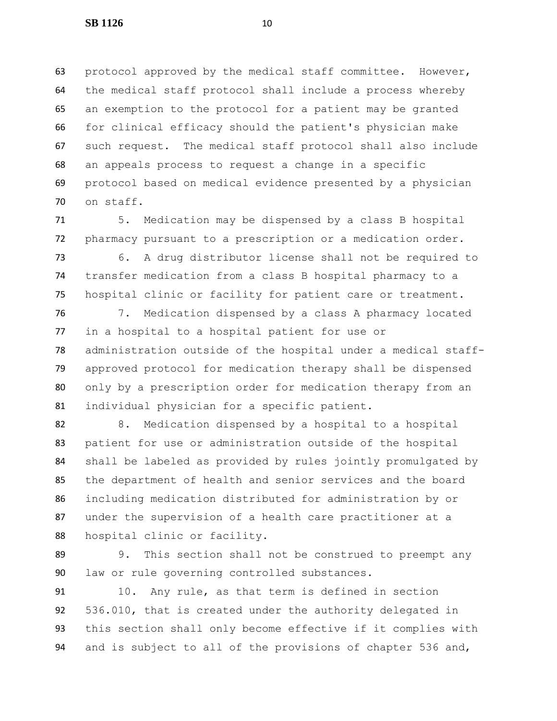protocol approved by the medical staff committee. However, the medical staff protocol shall include a process whereby an exemption to the protocol for a patient may be granted for clinical efficacy should the patient's physician make such request. The medical staff protocol shall also include an appeals process to request a change in a specific protocol based on medical evidence presented by a physician on staff.

 5. Medication may be dispensed by a class B hospital pharmacy pursuant to a prescription or a medication order.

 6. A drug distributor license shall not be required to transfer medication from a class B hospital pharmacy to a hospital clinic or facility for patient care or treatment.

 7. Medication dispensed by a class A pharmacy located in a hospital to a hospital patient for use or administration outside of the hospital under a medical staff- approved protocol for medication therapy shall be dispensed only by a prescription order for medication therapy from an individual physician for a specific patient.

 8. Medication dispensed by a hospital to a hospital patient for use or administration outside of the hospital shall be labeled as provided by rules jointly promulgated by the department of health and senior services and the board including medication distributed for administration by or under the supervision of a health care practitioner at a hospital clinic or facility.

 9. This section shall not be construed to preempt any law or rule governing controlled substances.

 10. Any rule, as that term is defined in section 536.010, that is created under the authority delegated in this section shall only become effective if it complies with and is subject to all of the provisions of chapter 536 and,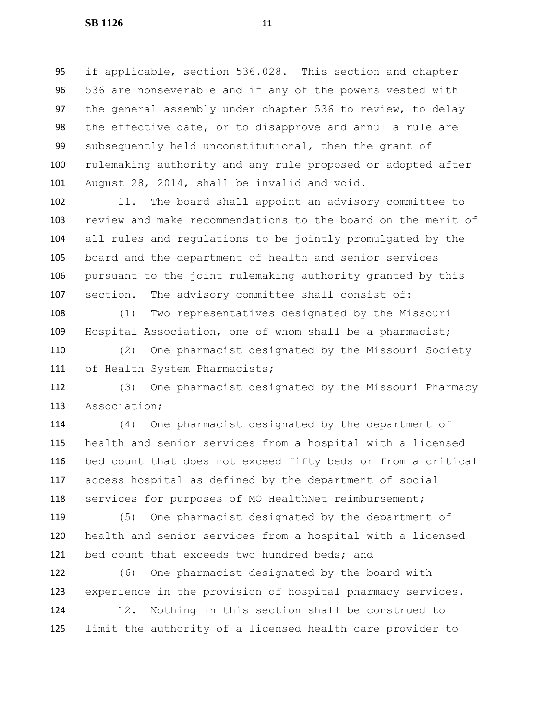if applicable, section 536.028. This section and chapter 536 are nonseverable and if any of the powers vested with the general assembly under chapter 536 to review, to delay the effective date, or to disapprove and annul a rule are subsequently held unconstitutional, then the grant of rulemaking authority and any rule proposed or adopted after August 28, 2014, shall be invalid and void.

 11. The board shall appoint an advisory committee to review and make recommendations to the board on the merit of all rules and regulations to be jointly promulgated by the board and the department of health and senior services pursuant to the joint rulemaking authority granted by this section. The advisory committee shall consist of:

 (1) Two representatives designated by the Missouri Hospital Association, one of whom shall be a pharmacist;

 (2) One pharmacist designated by the Missouri Society 111 of Health System Pharmacists;

 (3) One pharmacist designated by the Missouri Pharmacy Association;

 (4) One pharmacist designated by the department of health and senior services from a hospital with a licensed bed count that does not exceed fifty beds or from a critical access hospital as defined by the department of social 118 services for purposes of MO HealthNet reimbursement;

 (5) One pharmacist designated by the department of health and senior services from a hospital with a licensed 121 bed count that exceeds two hundred beds; and

 (6) One pharmacist designated by the board with experience in the provision of hospital pharmacy services.

 12. Nothing in this section shall be construed to limit the authority of a licensed health care provider to